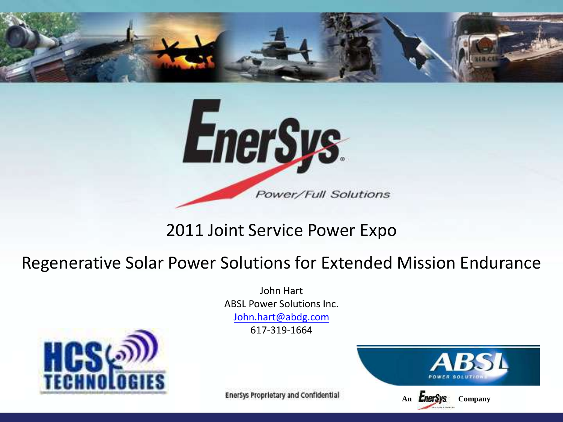



#### 2011 Joint Service Power Expo

#### Regenerative Solar Power Solutions for Extended Mission Endurance

John Hart ABSL Power Solutions Inc. [John.hart@abdg.com](mailto:John.hart@abdg.com) 617-319-1664



Enersys Proprietary and Confidential

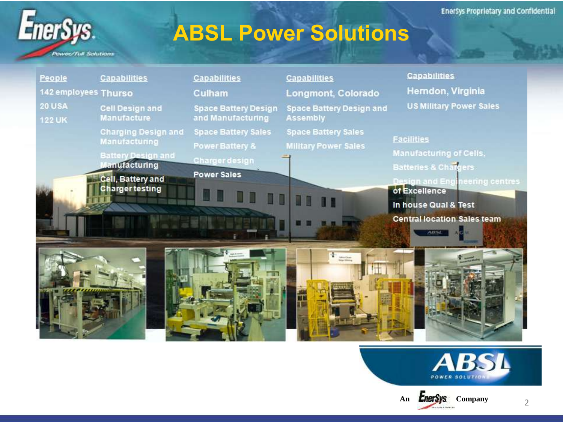## **ABSL Power Solutions**

**Power/Tull Solutions** 

EnerSys.

| People                         | <b>Capabilities</b>                                | <b>Capabilities</b>                                      | <b>Capabilities</b>                                                                                                                                                                                                                                                                                                                                 | <b>Capabilities</b>                                                            |
|--------------------------------|----------------------------------------------------|----------------------------------------------------------|-----------------------------------------------------------------------------------------------------------------------------------------------------------------------------------------------------------------------------------------------------------------------------------------------------------------------------------------------------|--------------------------------------------------------------------------------|
| 142 employees Thurso           |                                                    | Culham                                                   | Longmont, Colorado                                                                                                                                                                                                                                                                                                                                  | Herndon, Virginia                                                              |
| <b>20 USA</b><br><b>122 UK</b> | <b>Cell Design and</b><br><b>Manufacture</b>       | <b>Space Battery Design</b><br>and Manufacturing         | <b>Space Battery Design and</b><br><b>Assembly</b>                                                                                                                                                                                                                                                                                                  | <b>US Military Power Sales</b>                                                 |
|                                | <b>Charging Design and</b><br><b>Manufacturing</b> | <b>Space Battery Sales</b><br><b>Power Battery &amp;</b> | <b>Space Battery Sales</b><br><b>Military Power Sales</b>                                                                                                                                                                                                                                                                                           | <b>Facilities</b>                                                              |
|                                | <b>Battery Design and</b><br><b>Janufacturing</b>  | <b>Charger design</b><br><b>Power Sales</b>              |                                                                                                                                                                                                                                                                                                                                                     | <b>Manufacturing of Cells,</b><br><b>Batteries &amp; Chargers</b>              |
|                                | Cell, Battery and<br><b>Charger testing</b>        |                                                          |                                                                                                                                                                                                                                                                                                                                                     | <b>Design and Engineering centres</b><br>of Excellence<br>In house Qual & Test |
|                                | r year                                             |                                                          |                                                                                                                                                                                                                                                                                                                                                     | <b>Central location Sales team</b><br><b>ABSL</b>                              |
|                                |                                                    |                                                          | $\begin{picture}(20,20) \put(0,0){\line(1,0){10}} \put(15,0){\line(1,0){10}} \put(15,0){\line(1,0){10}} \put(15,0){\line(1,0){10}} \put(15,0){\line(1,0){10}} \put(15,0){\line(1,0){10}} \put(15,0){\line(1,0){10}} \put(15,0){\line(1,0){10}} \put(15,0){\line(1,0){10}} \put(15,0){\line(1,0){10}} \put(15,0){\line(1,0){10}} \put(15,0){\line(1$ |                                                                                |



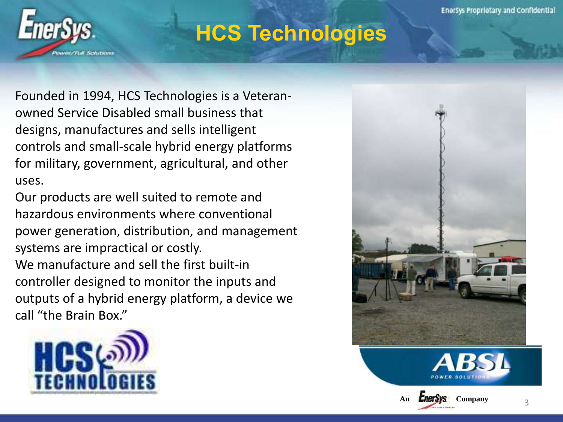

### **HCS Technologies**

Founded in 1994, HCS Technologies is a Veteranowned Service Disabled small business that designs, manufactures and sells intelligent controls and small-scale hybrid energy platforms for military, government, agricultural, and other uses.

Our products are well suited to remote and hazardous environments where conventional power generation, distribution, and management systems are impractical or costly. We manufacture and sell the first built-in controller designed to monitor the inputs and outputs of a hybrid energy platform, a device we call "the Brain Box."







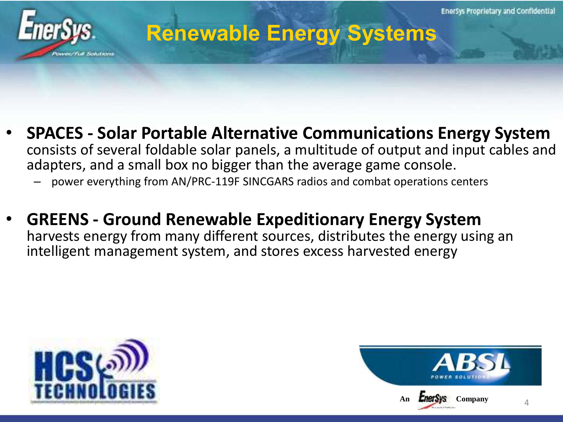

#### **Renewable Energy Systems**

- **SPACES - Solar Portable Alternative Communications Energy System**  consists of several foldable solar panels, a multitude of output and input cables and adapters, and a small box no bigger than the average game console.
	- power everything from AN/PRC-119F SINCGARS radios and combat operations centers
- **GREENS - Ground Renewable Expeditionary Energy System**  harvests energy from many different sources, distributes the energy using an intelligent management system, and stores excess harvested energy



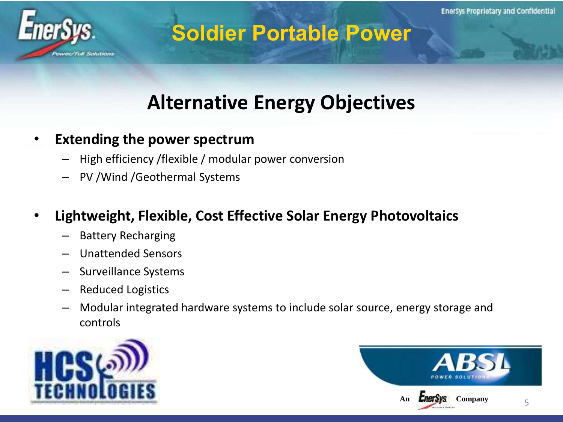

#### **Soldier Portable Power**

#### **Alternative Energy Objectives**

- **Extending the power spectrum** 
	- High efficiency /flexible / modular power conversion
	- PV /Wind /Geothermal Systems
- **Lightweight, Flexible, Cost Effective Solar Energy Photovoltaics**
	- Battery Recharging
	- Unattended Sensors
	- Surveillance Systems
	- Reduced Logistics
	- Modular integrated hardware systems to include solar source, energy storage and controls



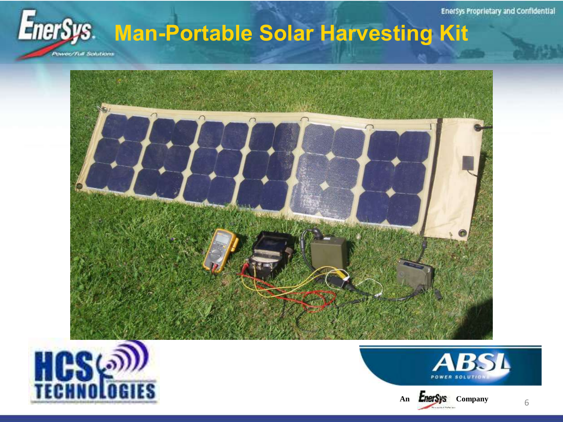**Enersys Proprietary and Confidential** 

# EnerSys. Man-Portable Solar Harvesting Kit

**Power/Full Schutions** 









6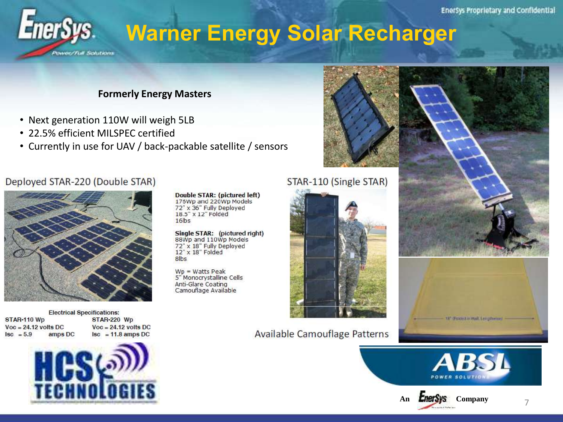## **Warner Energy Solar Recharger**

#### **Formerly Energy Masters**

- Next generation 110W will weigh 5LB
- 22.5% efficient MII SPFC certified

*Correct Full Seductions* 

• Currently in use for UAV / back-packable satellite / sensors



#### Deployed STAR-220 (Double STAR)

EnerSys.



**Electrical Specifications:** STAR-110 Wp  $Voc = 24.12$  volts DC  $|sc = 5.9|$ amps DC

STAR-220 Wp  $Voc = 24.12$  volts DC  $|sc| = 11.8$  amps DC



**Double STAR: (pictured left)** 176Wp and 220Wp Models 72" x 36" Fully Deployed 18.5" x 12" Folded  $16$ bs

Single STAR: (pictured right) 88Wp and 110Wp Models 72" x 18" Fully Deployed 12" x 18" Folded 8lbs

 $Wp = Watts Peak$ 5" Monocrystalline Cells Anti-Glare Coating Camouflage Available

#### STAR-110 (Single STAR)



Available Camouflage Patterns





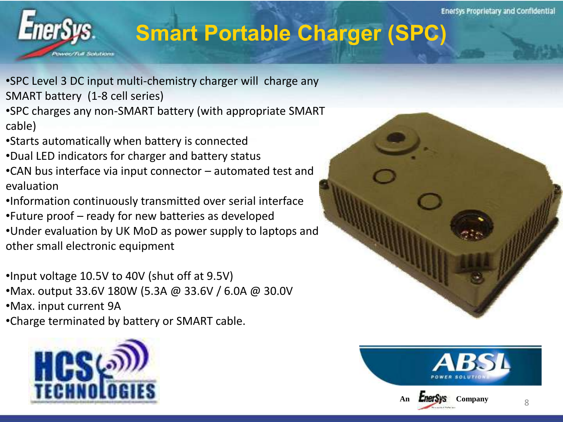## **Smart Portable Charger (SPC)**

- •SPC Level 3 DC input multi-chemistry charger will charge any SMART battery (1-8 cell series)
- •SPC charges any non-SMART battery (with appropriate SMART cable)
- •Starts automatically when battery is connected
- •Dual LED indicators for charger and battery status
- •CAN bus interface via input connector automated test and evaluation
- •Information continuously transmitted over serial interface
- •Future proof ready for new batteries as developed
- •Under evaluation by UK MoD as power supply to laptops and other small electronic equipment
- •Input voltage 10.5V to 40V (shut off at 9.5V)
- •Max. output 33.6V 180W (5.3A @ 33.6V / 6.0A @ 30.0V
- •Max. input current 9A
- •Charge terminated by battery or SMART cable.





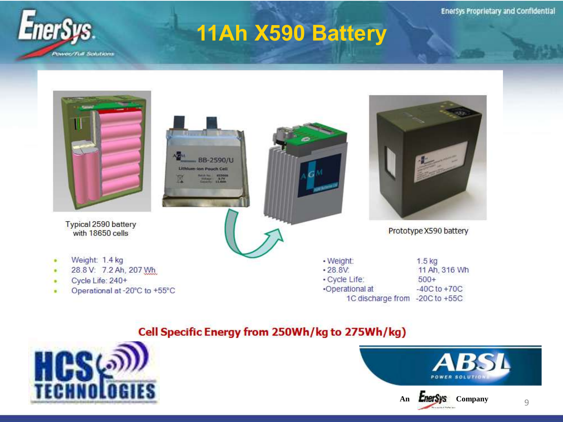

## 11Ah X590 Battery



٠ Cycle Life: 240+ ٠

Weight: 1.4 kg

 $\bullet$ 

with 18650 cells

Operational at -20°C to +55°C  $\blacksquare$ 

· Cycle Life:  $500+$ •Operational at  $-40C$  to  $+70C$ 1C discharge from -20C to +55C

#### Cell Specific Energy from 250Wh/kg to 275Wh/kg)



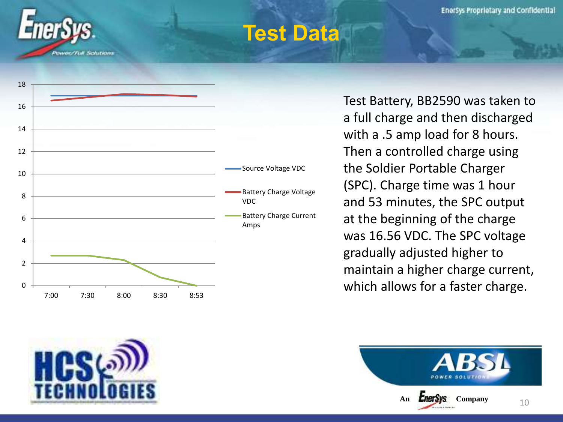

#### **Test Data**



Test Battery, BB2590 was taken to a full charge and then discharged with a .5 amp load for 8 hours. Then a controlled charge using the Soldier Portable Charger (SPC). Charge time was 1 hour and 53 minutes, the SPC output at the beginning of the charge was 16.56 VDC. The SPC voltage gradually adjusted higher to maintain a higher charge current, which allows for a faster charge.



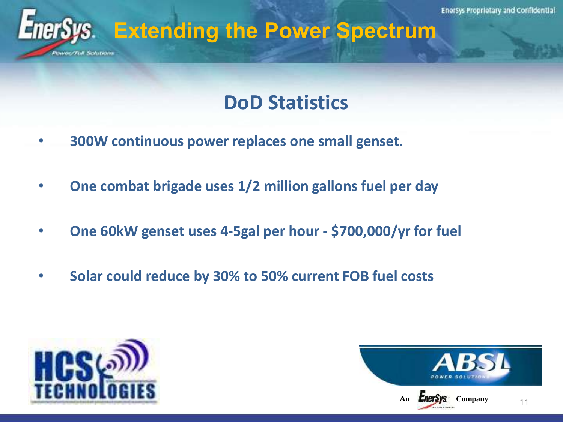

#### **DoD Statistics**

- • **300W continuous power replaces one small genset.**
- • **One combat brigade uses 1/2 million gallons fuel per day**
- • **One 60kW genset uses 4-5gal per hour - \$700,000/yr for fuel**
- • **Solar could reduce by 30% to 50% current FOB fuel costs**



wee/Full Schittens

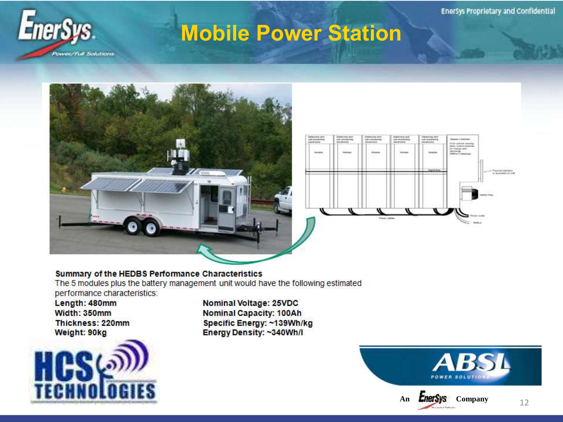

#### **Mobile Power Station**





#### Summary of the HEDBS Performance Characteristics

The 5 modules plus the battery management unit would have the following estimated performance characteristics:

Length: 480mm Width: 350mm Thickness: 220mm Weight: 90kg



Nominal Voltage: 25VDC **Nominal Capacity: 100Ah** Specific Energy: ~139Wh/kg Energy Density: ~340Wh/I

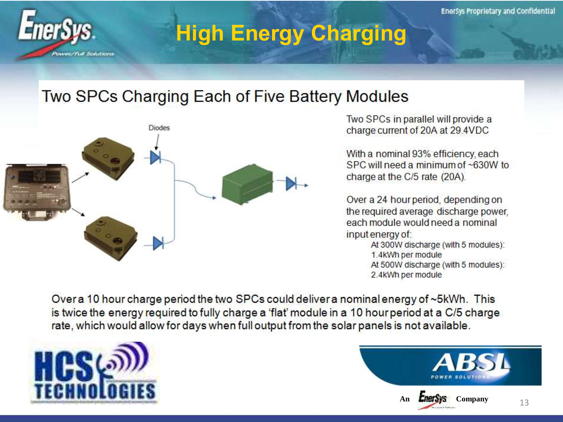

## **High Energy Charging**

#### Two SPCs Charging Each of Five Battery Modules



Two SPCs in parallel will provide a charge current of 20A at 29.4VDC

With a nominal 93% efficiency, each SPC will need a minimum of ~630W to charge at the C/5 rate (20A).

Over a 24 hour period, depending on the required average discharge power, each module would need a nominal input energy of:

At 300W discharge (with 5 modules): 1.4kWh per module At 500W discharge (with 5 modules): 2.4kWh per module

Over a 10 hour charge period the two SPCs could deliver a nominal energy of ~5kWh. This is twice the energy required to fully charge a 'flat' module in a 10 hour period at a C/5 charge rate, which would allow for days when full output from the solar panels is not available.



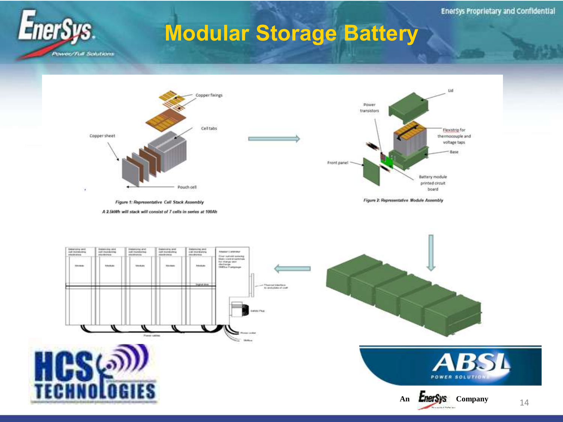#### **Modular Storage Battery**





Figure 1: Representative Cell Stack Assembly

A 2.5kWh will stack will consist of 7 cells in series at 100Ah



Figure 2: Representative Module Assembly